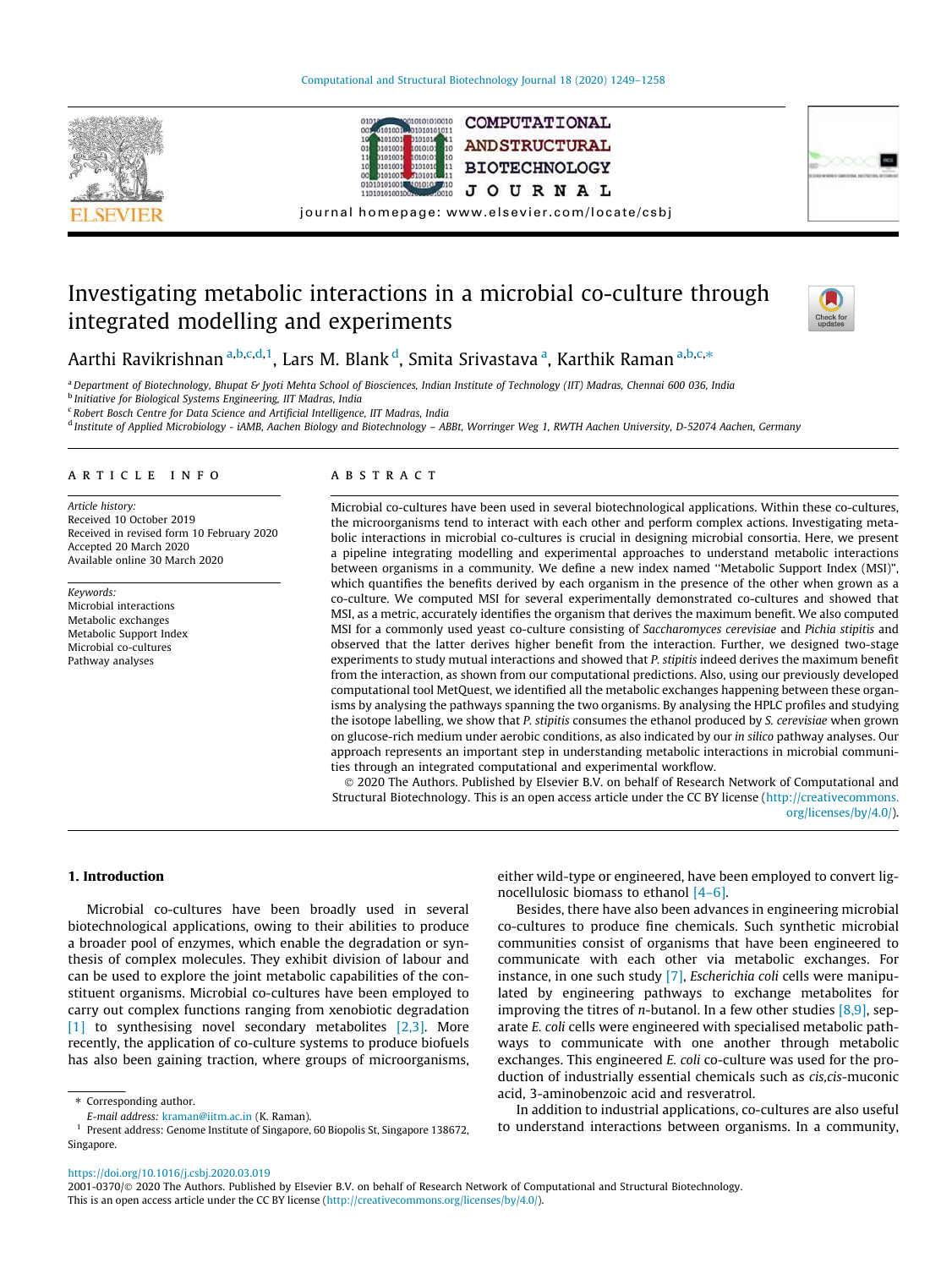



COMPUTATIONAL **ANDSTRUCTURAL BIOTECHNOLOGY JOURNAL** 



journal homepage: www.elsevier.com/locate/csbj

# Investigating metabolic interactions in a microbial co-culture through integrated modelling and experiments



Aarthi Ravikrishnan <sup>a,b,c,d,1</sup>, Lars M. Blank <sup>d</sup>, Smita Srivastava <sup>a</sup>, Karthik Raman <sup>a,b,c,</sup>\*

<sup>a</sup>*Department of Biotechnology, Bhupat & Jyoti Mehta School of Biosciences, Indian Institute of Technology (IIT) Madras, Chennai 600 036, India* b *Initiative for Biological Systems Engineering, IIT Madras, India*

<sup>c</sup> Robert Bosch Centre for Data Science and Artificial Intelligence, IIT Madras, India

d *Institute of Applied Microbiology - iAMB, Aachen Biology and Biotechnology – ABBt, Worringer Weg 1, RWTH Aachen University, D-52074 Aachen, Germany*

#### article info

*Article history:* Received 10 October 2019 Received in revised form 10 February 2020 Accepted 20 March 2020 Available online 30 March 2020

*Keywords:* Microbial interactions Metabolic exchanges Metabolic Support Index Microbial co-cultures Pathway analyses

### **ABSTRACT**

Microbial co-cultures have been used in several biotechnological applications. Within these co-cultures, the microorganisms tend to interact with each other and perform complex actions. Investigating metabolic interactions in microbial co-cultures is crucial in designing microbial consortia. Here, we present a pipeline integrating modelling and experimental approaches to understand metabolic interactions between organisms in a community. We define a new index named ''Metabolic Support Index (MSI)", which quantifies the benefits derived by each organism in the presence of the other when grown as a co-culture. We computed MSI for several experimentally demonstrated co-cultures and showed that MSI, as a metric, accurately identifies the organism that derives the maximum benefit. We also computed MSI for a commonly used yeast co-culture consisting of *Saccharomyces cerevisiae* and *Pichia stipitis* and observed that the latter derives higher benefit from the interaction. Further, we designed two-stage experiments to study mutual interactions and showed that *P. stipitis* indeed derives the maximum benefit from the interaction, as shown from our computational predictions. Also, using our previously developed computational tool MetQuest, we identified all the metabolic exchanges happening between these organisms by analysing the pathways spanning the two organisms. By analysing the HPLC profiles and studying the isotope labelling, we show that *P. stipitis* consumes the ethanol produced by *S. cerevisiae* when grown on glucose-rich medium under aerobic conditions, as also indicated by our *in silico* pathway analyses. Our approach represents an important step in understanding metabolic interactions in microbial communities through an integrated computational and experimental workflow.

 2020 The Authors. Published by Elsevier B.V. on behalf of Research Network of Computational and Structural Biotechnology. This is an open access article under the CC BY license (http://creativecommons. org/licenses/by/4.0/).

### 1. Introduction

Microbial co-cultures have been broadly used in several biotechnological applications, owing to their abilities to produce a broader pool of enzymes, which enable the degradation or synthesis of complex molecules. They exhibit division of labour and can be used to explore the joint metabolic capabilities of the constituent organisms. Microbial co-cultures have been employed to carry out complex functions ranging from xenobiotic degradation [1] to synthesising novel secondary metabolites [2,3]. More recently, the application of co-culture systems to produce biofuels has also been gaining traction, where groups of microorganisms, either wild-type or engineered, have been employed to convert lignocellulosic biomass to ethanol [4–6].

Besides, there have also been advances in engineering microbial co-cultures to produce fine chemicals. Such synthetic microbial communities consist of organisms that have been engineered to communicate with each other via metabolic exchanges. For instance, in one such study [7], *Escherichia coli* cells were manipulated by engineering pathways to exchange metabolites for improving the titres of *n*-butanol. In a few other studies [8,9], separate *E. coli* cells were engineered with specialised metabolic pathways to communicate with one another through metabolic exchanges. This engineered *E. coli* co-culture was used for the production of industrially essential chemicals such as *cis,cis*-muconic acid, 3-aminobenzoic acid and resveratrol.

In addition to industrial applications, co-cultures are also useful to understand interactions between organisms. In a community,

https://doi.org/10.1016/j.csbj.2020.03.019

<sup>\*</sup> Corresponding author.

*E-mail address:* kraman@iitm.ac.in (K. Raman).

<sup>&</sup>lt;sup>1</sup> Present address: Genome Institute of Singapore, 60 Biopolis St, Singapore 138672, Singapore.

<sup>2001-0370/@ 2020</sup> The Authors. Published by Elsevier B.V. on behalf of Research Network of Computational and Structural Biotechnology. This is an open access article under the CC BY license (http://creativecommons.org/licenses/by/4.0/).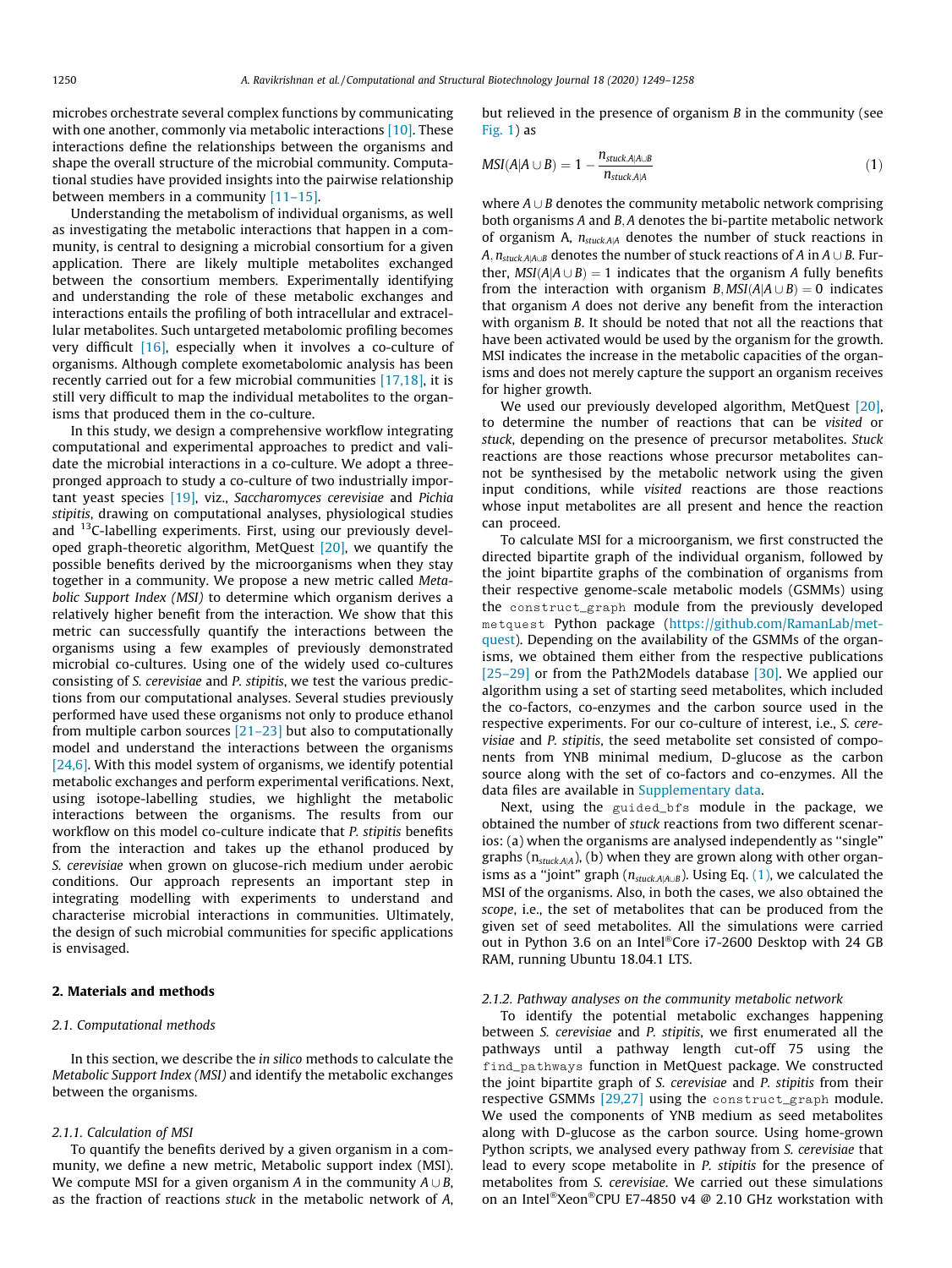microbes orchestrate several complex functions by communicating with one another, commonly via metabolic interactions [10]. These interactions define the relationships between the organisms and shape the overall structure of the microbial community. Computational studies have provided insights into the pairwise relationship between members in a community  $[11-15]$ .

Understanding the metabolism of individual organisms, as well as investigating the metabolic interactions that happen in a community, is central to designing a microbial consortium for a given application. There are likely multiple metabolites exchanged between the consortium members. Experimentally identifying and understanding the role of these metabolic exchanges and interactions entails the profiling of both intracellular and extracellular metabolites. Such untargeted metabolomic profiling becomes very difficult [16], especially when it involves a co-culture of organisms. Although complete exometabolomic analysis has been recently carried out for a few microbial communities [17,18], it is still very difficult to map the individual metabolites to the organisms that produced them in the co-culture.

In this study, we design a comprehensive workflow integrating computational and experimental approaches to predict and validate the microbial interactions in a co-culture. We adopt a threepronged approach to study a co-culture of two industrially important yeast species [19], viz., *Saccharomyces cerevisiae* and *Pichia stipitis*, drawing on computational analyses, physiological studies and <sup>13</sup>C-labelling experiments. First, using our previously developed graph-theoretic algorithm, MetQuest  $[20]$ , we quantify the possible benefits derived by the microorganisms when they stay together in a community. We propose a new metric called *Metabolic Support Index (MSI)* to determine which organism derives a relatively higher benefit from the interaction. We show that this metric can successfully quantify the interactions between the organisms using a few examples of previously demonstrated microbial co-cultures. Using one of the widely used co-cultures consisting of *S. cerevisiae* and *P. stipitis*, we test the various predictions from our computational analyses. Several studies previously performed have used these organisms not only to produce ethanol from multiple carbon sources [21–23] but also to computationally model and understand the interactions between the organisms [24,6]. With this model system of organisms, we identify potential metabolic exchanges and perform experimental verifications. Next, using isotope-labelling studies, we highlight the metabolic interactions between the organisms. The results from our workflow on this model co-culture indicate that *P. stipitis* benefits from the interaction and takes up the ethanol produced by *S. cerevisiae* when grown on glucose-rich medium under aerobic conditions. Our approach represents an important step in integrating modelling with experiments to understand and characterise microbial interactions in communities. Ultimately, the design of such microbial communities for specific applications is envisaged.

#### 2. Materials and methods

### *2.1. Computational methods*

In this section, we describe the *in silico* methods to calculate the *Metabolic Support Index (MSI)* and identify the metabolic exchanges between the organisms.

#### *2.1.1. Calculation of MSI*

To quantify the benefits derived by a given organism in a community, we define a new metric, Metabolic support index (MSI). We compute MSI for a given organism *A* in the community  $A \cup B$ , as the fraction of reactions *stuck* in the metabolic network of *A*, but relieved in the presence of organism *B* in the community (see  $Fig. 1)$  as

$$
MSI(A|A \cup B) = 1 - \frac{n_{\text{stuck},A|A \cup B}}{n_{\text{stuck},A|A}}
$$
(1)

where  $A \cup B$  denotes the community metabolic network comprising both organisms *<sup>A</sup>* and *<sup>B</sup>*; *<sup>A</sup>* denotes the bi-partite metabolic network of organism A,  $n_{stack,AA}$  denotes the number of stuck reactions in  $A, n_{stuckA|A\cup B}$  denotes the number of stuck reactions of *A* in  $A \cup B$ . Further,  $MSI(A|A \cup B) = 1$  indicates that the organism *A* fully benefits from the interaction with organism  $B$ ,  $MSI(A|A \cup B) = 0$  indicates that organism *A* does not derive any benefit from the interaction with organism *B*. It should be noted that not all the reactions that have been activated would be used by the organism for the growth. MSI indicates the increase in the metabolic capacities of the organisms and does not merely capture the support an organism receives for higher growth.

We used our previously developed algorithm, MetQuest [20], to determine the number of reactions that can be *visited* or *stuck*, depending on the presence of precursor metabolites. *Stuck* reactions are those reactions whose precursor metabolites cannot be synthesised by the metabolic network using the given input conditions, while *visited* reactions are those reactions whose input metabolites are all present and hence the reaction can proceed.

To calculate MSI for a microorganism, we first constructed the directed bipartite graph of the individual organism, followed by the joint bipartite graphs of the combination of organisms from their respective genome-scale metabolic models (GSMMs) using the construct\_graph module from the previously developed metquest Python package (https://github.com/RamanLab/metquest). Depending on the availability of the GSMMs of the organisms, we obtained them either from the respective publications [25–29] or from the Path2Models database [30]. We applied our algorithm using a set of starting seed metabolites, which included the co-factors, co-enzymes and the carbon source used in the respective experiments. For our co-culture of interest, i.e., *S. cerevisiae* and *P. stipitis*, the seed metabolite set consisted of components from YNB minimal medium, D-glucose as the carbon source along with the set of co-factors and co-enzymes. All the data files are available in Supplementary data.

Next, using the guided\_bfs module in the package, we obtained the number of *stuck* reactions from two different scenarios: (a) when the organisms are analysed independently as ''single" graphs ( $n_{\text{stuck,AA}}$ ), (b) when they are grown along with other organisms as a "joint" graph ( $n_{\text{stuck},A|A\cup B}$ ). Using Eq. (1), we calculated the MSI of the organisms. Also, in both the cases, we also obtained the *scope*, i.e., the set of metabolites that can be produced from the given set of seed metabolites. All the simulations were carried out in Python 3.6 on an Intel®Core i7-2600 Desktop with 24 GB RAM, running Ubuntu 18.04.1 LTS.

#### *2.1.2. Pathway analyses on the community metabolic network*

To identify the potential metabolic exchanges happening between *S. cerevisiae* and *P. stipitis*, we first enumerated all the pathways until a pathway length cut-off 75 using the find\_pathways function in MetQuest package. We constructed the joint bipartite graph of *S. cerevisiae* and *P. stipitis* from their respective GSMMs [29,27] using the construct\_graph module. We used the components of YNB medium as seed metabolites along with D-glucose as the carbon source. Using home-grown Python scripts, we analysed every pathway from *S. cerevisiae* that lead to every scope metabolite in *P. stipitis* for the presence of metabolites from *S. cerevisiae*. We carried out these simulations on an Intel®Xeon®CPU E7-4850 v4 @ 2.10 GHz workstation with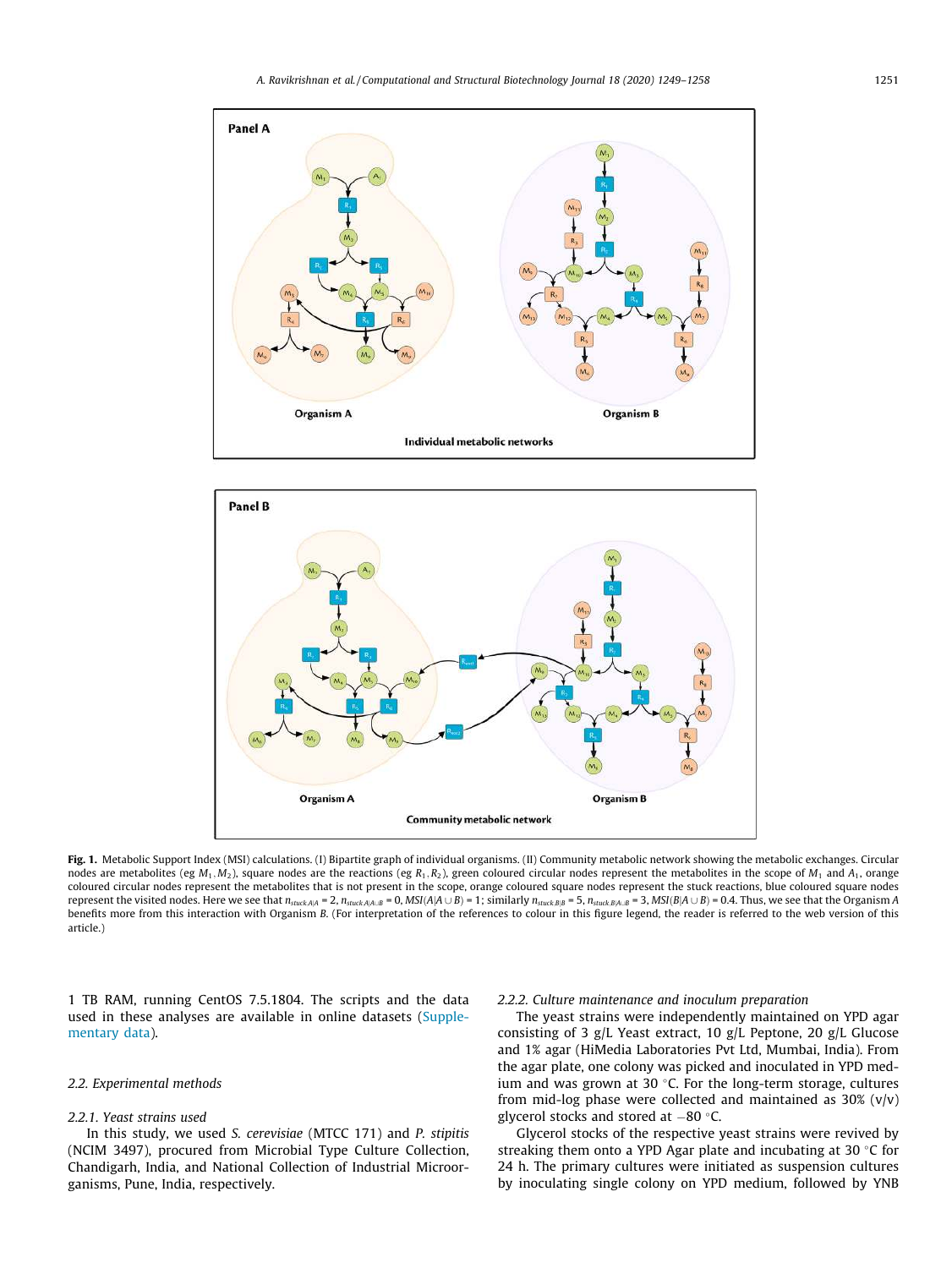



Fig. 1. Metabolic Support Index (MSI) calculations. (I) Bipartite graph of individual organisms. (II) Community metabolic network showing the metabolic exchanges. Circular nodes are metabolites (eg *<sup>M</sup>*<sup>1</sup>; *<sup>M</sup>*2), square nodes are the reactions (eg *<sup>R</sup>*<sup>1</sup>; *<sup>R</sup>*2), green coloured circular nodes represent the metabolites in the scope of *<sup>M</sup>*<sup>1</sup> and *<sup>A</sup>*1, orange coloured circular nodes represent the metabolites that is not present in the scope, orange coloured square nodes represent the stuck reactions, blue coloured square nodes represent the visited nodes. Here we see that  $n_{stuck, |A|} = 2$ ,  $n_{stuck, |A|, B} = 0$ ,  $MSI(A|A \cup B) = 1$ ; similarly  $n_{stuck, B|B} = 5$ ,  $n_{stuck, B|A \cup B} = 3$ ,  $MSI(B|A \cup B) = 0.4$ . Thus, we see that the Organism A benefits more from this interaction with Organism *B*. (For interpretation of the references to colour in this figure legend, the reader is referred to the web version of this article.)

1 TB RAM, running CentOS 7.5.1804. The scripts and the data used in these analyses are available in online datasets (Supplementary data).

### *2.2. Experimental methods*

### *2.2.1. Yeast strains used*

In this study, we used *S. cerevisiae* (MTCC 171) and *P. stipitis* (NCIM 3497), procured from Microbial Type Culture Collection, Chandigarh, India, and National Collection of Industrial Microorganisms, Pune, India, respectively.

#### *2.2.2. Culture maintenance and inoculum preparation*

The yeast strains were independently maintained on YPD agar consisting of 3 g/L Yeast extract, 10 g/L Peptone, 20 g/L Glucose and 1% agar (HiMedia Laboratories Pvt Ltd, Mumbai, India). From the agar plate, one colony was picked and inoculated in YPD medium and was grown at 30  $\degree$ C. For the long-term storage, cultures from mid-log phase were collected and maintained as  $30\%$  (v/v) glycerol stocks and stored at  $-80$  °C.

Glycerol stocks of the respective yeast strains were revived by streaking them onto a YPD Agar plate and incubating at 30  $\degree$ C for 24 h. The primary cultures were initiated as suspension cultures by inoculating single colony on YPD medium, followed by YNB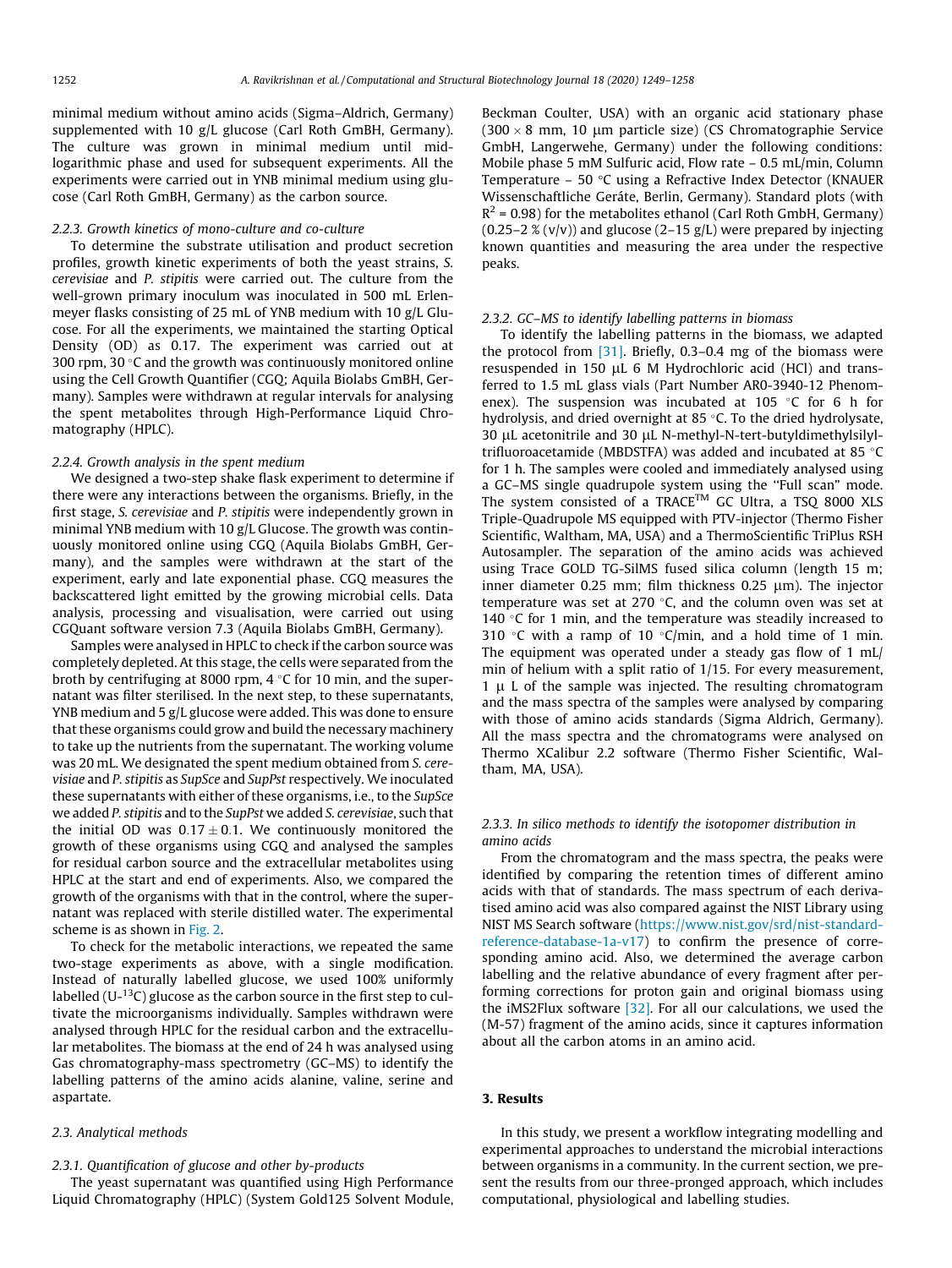minimal medium without amino acids (Sigma–Aldrich, Germany) supplemented with 10 g/L glucose (Carl Roth GmBH, Germany). The culture was grown in minimal medium until midlogarithmic phase and used for subsequent experiments. All the experiments were carried out in YNB minimal medium using glucose (Carl Roth GmBH, Germany) as the carbon source.

#### *2.2.3. Growth kinetics of mono-culture and co-culture*

To determine the substrate utilisation and product secretion profiles, growth kinetic experiments of both the yeast strains, *S. cerevisiae* and *P. stipitis* were carried out. The culture from the well-grown primary inoculum was inoculated in 500 mL Erlenmeyer flasks consisting of 25 mL of YNB medium with 10 g/L Glucose. For all the experiments, we maintained the starting Optical Density (OD) as 0.17. The experiment was carried out at 300 rpm, 30 $\degree$ C and the growth was continuously monitored online using the Cell Growth Quantifier (CGQ; Aquila Biolabs GmBH, Germany). Samples were withdrawn at regular intervals for analysing the spent metabolites through High-Performance Liquid Chromatography (HPLC).

#### *2.2.4. Growth analysis in the spent medium*

We designed a two-step shake flask experiment to determine if there were any interactions between the organisms. Briefly, in the first stage, *S. cerevisiae* and *P. stipitis* were independently grown in minimal YNB medium with 10 g/L Glucose. The growth was continuously monitored online using CGQ (Aquila Biolabs GmBH, Germany), and the samples were withdrawn at the start of the experiment, early and late exponential phase. CGQ measures the backscattered light emitted by the growing microbial cells. Data analysis, processing and visualisation, were carried out using CGQuant software version 7.3 (Aquila Biolabs GmBH, Germany).

Samples were analysed in HPLC to check if the carbon source was completely depleted. At this stage, the cells were separated from the broth by centrifuging at 8000 rpm,  $4 \degree C$  for 10 min, and the supernatant was filter sterilised. In the next step, to these supernatants, YNB medium and 5 g/L glucose were added. This was done to ensure that these organisms could grow and build the necessary machinery to take up the nutrients from the supernatant. The working volume was 20 mL. We designated the spent medium obtained from *S. cerevisiae* and *P. stipitis* as *SupSce* and *SupPst* respectively. We inoculated these supernatants with either of these organisms, i.e., to the *SupSce* we added *P. stipitis* and to the *SupPst* we added *S. cerevisiae*, such that the initial OD was  $0.17 \pm 0.1$ . We continuously monitored the growth of these organisms using CGQ and analysed the samples for residual carbon source and the extracellular metabolites using HPLC at the start and end of experiments. Also, we compared the growth of the organisms with that in the control, where the supernatant was replaced with sterile distilled water. The experimental scheme is as shown in Fig. 2.

To check for the metabolic interactions, we repeated the same two-stage experiments as above, with a single modification. Instead of naturally labelled glucose, we used 100% uniformly labelled ( $U^{-13}C$ ) glucose as the carbon source in the first step to cultivate the microorganisms individually. Samples withdrawn were analysed through HPLC for the residual carbon and the extracellular metabolites. The biomass at the end of 24 h was analysed using Gas chromatography-mass spectrometry (GC–MS) to identify the labelling patterns of the amino acids alanine, valine, serine and aspartate.

### *2.3. Analytical methods*

### *2.3.1. Quantification of glucose and other by-products*

The yeast supernatant was quantified using High Performance Liquid Chromatography (HPLC) (System Gold125 Solvent Module,

Beckman Coulter, USA) with an organic acid stationary phase  $(300 \times 8$  mm, 10 um particle size) (CS Chromatographie Service GmbH, Langerwehe, Germany) under the following conditions: Mobile phase 5 mM Sulfuric acid, Flow rate – 0.5 mL/min, Column Temperature – 50  $\degree$ C using a Refractive Index Detector (KNAUER Wissenschaftliche Geráte, Berlin, Germany). Standard plots (with  $R^2$  = 0.98) for the metabolites ethanol (Carl Roth GmbH, Germany)  $(0.25-2 \times (v/v))$  and glucose  $(2-15 \text{ g/L})$  were prepared by injecting known quantities and measuring the area under the respective peaks.

### *2.3.2. GC–MS to identify labelling patterns in biomass*

To identify the labelling patterns in the biomass, we adapted the protocol from [31]. Briefly, 0.3–0.4 mg of the biomass were resuspended in 150 µL 6 M Hydrochloric acid (HCl) and transferred to 1.5 mL glass vials (Part Number AR0-3940-12 Phenomenex). The suspension was incubated at 105  $\degree$ C for 6 h for hydrolysis, and dried overnight at 85 $\degree$ C. To the dried hydrolysate, 30 uL acetonitrile and 30 uL N-methyl-N-tert-butyldimethylsilyltrifluoroacetamide (MBDSTFA) was added and incubated at 85 °C for 1 h. The samples were cooled and immediately analysed using a GC–MS single quadrupole system using the ''Full scan" mode. The system consisted of a TRACE™ GC Ultra, a TSQ 8000 XLS Triple-Quadrupole MS equipped with PTV-injector (Thermo Fisher Scientific, Waltham, MA, USA) and a ThermoScientific TriPlus RSH Autosampler. The separation of the amino acids was achieved using Trace GOLD TG-SilMS fused silica column (length 15 m; inner diameter  $0.25$  mm; film thickness  $0.25$   $\mu$ m). The injector temperature was set at 270  $\degree$ C, and the column oven was set at 140  $\degree$ C for 1 min, and the temperature was steadily increased to 310 °C with a ramp of 10 °C/min, and a hold time of 1 min. The equipment was operated under a steady gas flow of 1 mL/ min of helium with a split ratio of 1/15. For every measurement,  $1 \mu$  L of the sample was injected. The resulting chromatogram and the mass spectra of the samples were analysed by comparing with those of amino acids standards (Sigma Aldrich, Germany). All the mass spectra and the chromatograms were analysed on Thermo XCalibur 2.2 software (Thermo Fisher Scientific, Waltham, MA, USA).

### *2.3.3. In silico methods to identify the isotopomer distribution in amino acids*

From the chromatogram and the mass spectra, the peaks were identified by comparing the retention times of different amino acids with that of standards. The mass spectrum of each derivatised amino acid was also compared against the NIST Library using NIST MS Search software (https://www.nist.gov/srd/nist-standardreference-database-1a-v17) to confirm the presence of corresponding amino acid. Also, we determined the average carbon labelling and the relative abundance of every fragment after performing corrections for proton gain and original biomass using the iMS2Flux software  $[32]$ . For all our calculations, we used the (M-57) fragment of the amino acids, since it captures information about all the carbon atoms in an amino acid.

### 3. Results

In this study, we present a workflow integrating modelling and experimental approaches to understand the microbial interactions between organisms in a community. In the current section, we present the results from our three-pronged approach, which includes computational, physiological and labelling studies.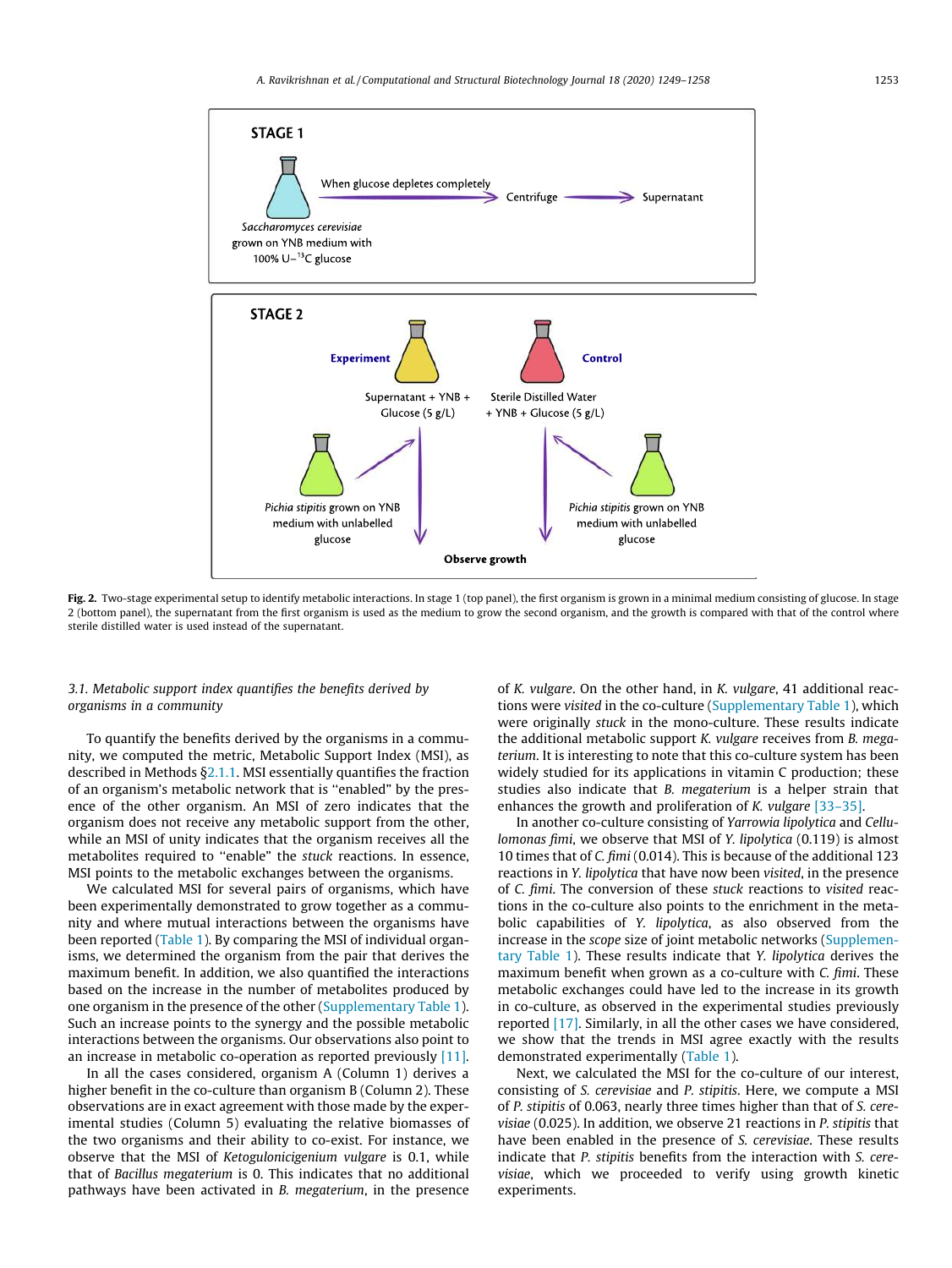

Fig. 2. Two-stage experimental setup to identify metabolic interactions. In stage 1 (top panel), the first organism is grown in a minimal medium consisting of glucose. In stage 2 (bottom panel), the supernatant from the first organism is used as the medium to grow the second organism, and the growth is compared with that of the control where sterile distilled water is used instead of the supernatant.

### *3.1. Metabolic support index quantifies the benefits derived by organisms in a community*

To quantify the benefits derived by the organisms in a community, we computed the metric, Metabolic Support Index (MSI), as described in Methods  $\S$ 2.1.1. MSI essentially quantifies the fraction of an organism's metabolic network that is ''enabled" by the presence of the other organism. An MSI of zero indicates that the organism does not receive any metabolic support from the other, while an MSI of unity indicates that the organism receives all the metabolites required to ''enable" the *stuck* reactions. In essence, MSI points to the metabolic exchanges between the organisms.

We calculated MSI for several pairs of organisms, which have been experimentally demonstrated to grow together as a community and where mutual interactions between the organisms have been reported (Table 1). By comparing the MSI of individual organisms, we determined the organism from the pair that derives the maximum benefit. In addition, we also quantified the interactions based on the increase in the number of metabolites produced by one organism in the presence of the other (Supplementary Table 1). Such an increase points to the synergy and the possible metabolic interactions between the organisms. Our observations also point to an increase in metabolic co-operation as reported previously [11].

In all the cases considered, organism A (Column 1) derives a higher benefit in the co-culture than organism B (Column 2). These observations are in exact agreement with those made by the experimental studies (Column 5) evaluating the relative biomasses of the two organisms and their ability to co-exist. For instance, we observe that the MSI of *Ketogulonicigenium vulgare* is 0.1, while that of *Bacillus megaterium* is 0. This indicates that no additional pathways have been activated in *B. megaterium*, in the presence of *K. vulgare*. On the other hand, in *K. vulgare*, 41 additional reactions were *visited* in the co-culture (Supplementary Table 1), which were originally *stuck* in the mono-culture. These results indicate the additional metabolic support *K. vulgare* receives from *B. megaterium*. It is interesting to note that this co-culture system has been widely studied for its applications in vitamin C production; these studies also indicate that *B. megaterium* is a helper strain that enhances the growth and proliferation of *K. vulgare* [33–35].

In another co-culture consisting of *Yarrowia lipolytica* and *Cellulomonas fimi*, we observe that MSI of *Y. lipolytica* (0.119) is almost 10 times that of *C. fimi* (0.014). This is because of the additional 123 reactions in *Y. lipolytica* that have now been *visited*, in the presence of *C. fimi*. The conversion of these *stuck* reactions to *visited* reactions in the co-culture also points to the enrichment in the metabolic capabilities of *Y. lipolytica*, as also observed from the increase in the *scope* size of joint metabolic networks (Supplementary Table 1). These results indicate that *Y. lipolytica* derives the maximum benefit when grown as a co-culture with *C. fimi*. These metabolic exchanges could have led to the increase in its growth in co-culture, as observed in the experimental studies previously reported [17]. Similarly, in all the other cases we have considered, we show that the trends in MSI agree exactly with the results demonstrated experimentally (Table 1).

Next, we calculated the MSI for the co-culture of our interest, consisting of *S. cerevisiae* and *P. stipitis*. Here, we compute a MSI of *P. stipitis* of 0.063, nearly three times higher than that of *S. cerevisiae* (0.025). In addition, we observe 21 reactions in *P. stipitis* that have been enabled in the presence of *S. cerevisiae*. These results indicate that *P. stipitis* benefits from the interaction with *S. cerevisiae*, which we proceeded to verify using growth kinetic experiments.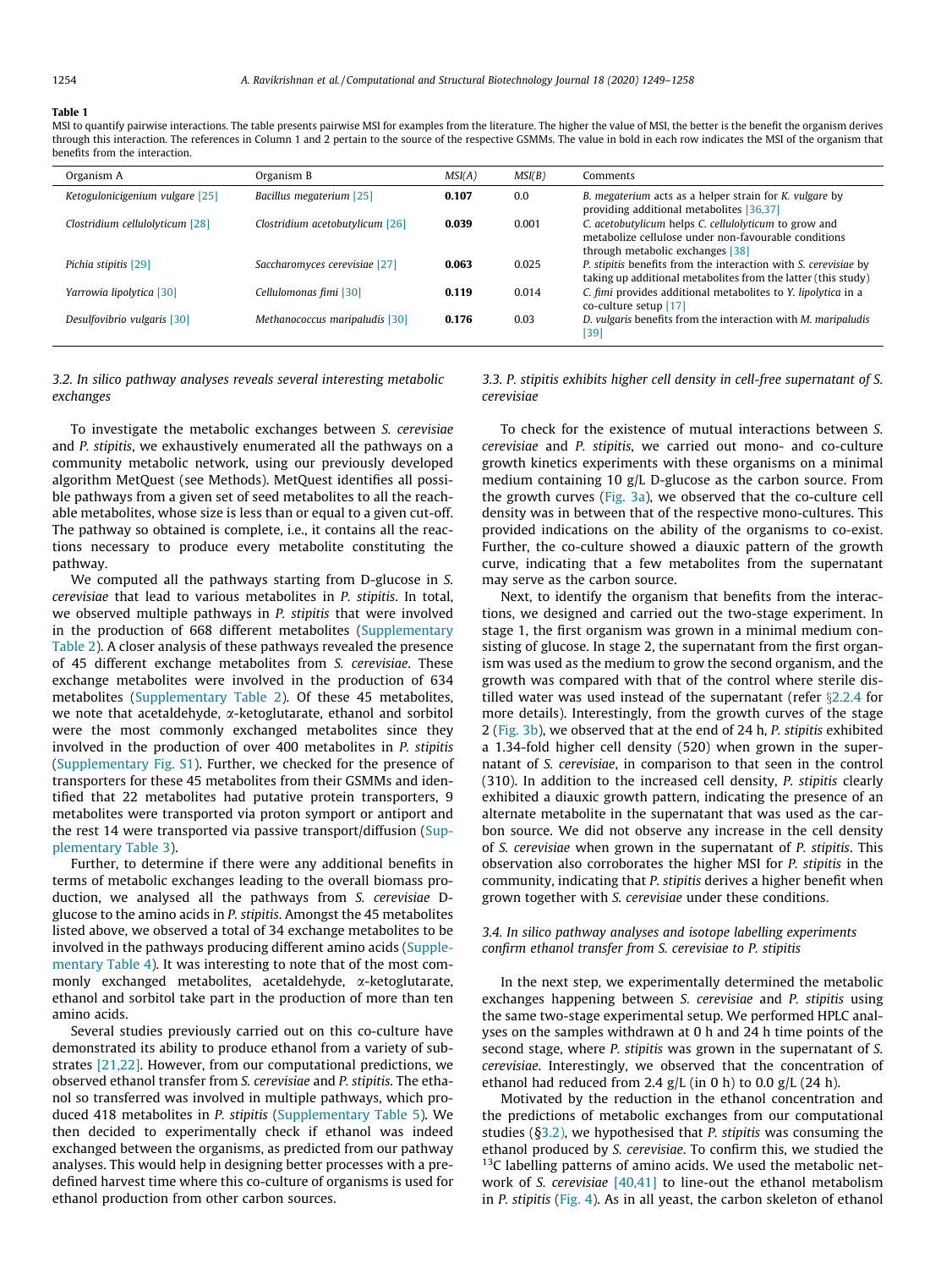#### Table 1

MSI to quantify pairwise interactions. The table presents pairwise MSI for examples from the literature. The higher the value of MSI, the better is the benefit the organism derives through this interaction. The references in Column 1 and 2 pertain to the source of the respective GSMMs. The value in bold in each row indicates the MSI of the organism that benefits from the interaction.

| Organism A                      | Organism B                      | MSI(A) | MSI(B) | Comments                                                                                                                                          |
|---------------------------------|---------------------------------|--------|--------|---------------------------------------------------------------------------------------------------------------------------------------------------|
| Ketogulonicigenium vulgare [25] | Bacillus megaterium [25]        | 0.107  | 0.0    | B. megaterium acts as a helper strain for K. vulgare by<br>providing additional metabolites [36,37]                                               |
| Clostridium cellulolyticum [28] | Clostridium acetobutylicum [26] | 0.039  | 0.001  | C. acetobutylicum helps C. cellulolyticum to grow and<br>metabolize cellulose under non-favourable conditions<br>through metabolic exchanges [38] |
| Pichia stipitis [29]            | Saccharomyces cerevisiae [27]   | 0.063  | 0.025  | P. stipitis benefits from the interaction with S. cerevisiae by<br>taking up additional metabolites from the latter (this study)                  |
| Yarrowia lipolytica [30]        | Cellulomonas fimi [30]          | 0.119  | 0.014  | C. fimi provides additional metabolites to Y. lipolytica in a<br>co-culture setup [17]                                                            |
| Desulfovibrio vulgaris [30]     | Methanococcus maripaludis [30]  | 0.176  | 0.03   | D. vulgaris benefits from the interaction with M. maripaludis<br>[39]                                                                             |

### *3.2. In silico pathway analyses reveals several interesting metabolic exchanges*

To investigate the metabolic exchanges between *S. cerevisiae* and *P. stipitis*, we exhaustively enumerated all the pathways on a community metabolic network, using our previously developed algorithm MetQuest (see Methods). MetQuest identifies all possible pathways from a given set of seed metabolites to all the reachable metabolites, whose size is less than or equal to a given cut-off. The pathway so obtained is complete, i.e., it contains all the reactions necessary to produce every metabolite constituting the pathway.

We computed all the pathways starting from D-glucose in *S. cerevisiae* that lead to various metabolites in *P. stipitis*. In total, we observed multiple pathways in *P. stipitis* that were involved in the production of 668 different metabolites (Supplementary Table 2). A closer analysis of these pathways revealed the presence of 45 different exchange metabolites from *S. cerevisiae*. These exchange metabolites were involved in the production of 634 metabolites (Supplementary Table 2). Of these 45 metabolites, we note that acetaldehyde,  $\alpha$ -ketoglutarate, ethanol and sorbitol were the most commonly exchanged metabolites since they involved in the production of over 400 metabolites in *P. stipitis* (Supplementary Fig. S1). Further, we checked for the presence of transporters for these 45 metabolites from their GSMMs and identified that 22 metabolites had putative protein transporters, 9 metabolites were transported via proton symport or antiport and the rest 14 were transported via passive transport/diffusion (Supplementary Table 3).

Further, to determine if there were any additional benefits in terms of metabolic exchanges leading to the overall biomass production, we analysed all the pathways from *S. cerevisiae* Dglucose to the amino acids in *P. stipitis*. Amongst the 45 metabolites listed above, we observed a total of 34 exchange metabolites to be involved in the pathways producing different amino acids (Supplementary Table 4). It was interesting to note that of the most commonly exchanged metabolites, acetaldehyde,  $\alpha$ -ketoglutarate, ethanol and sorbitol take part in the production of more than ten amino acids.

Several studies previously carried out on this co-culture have demonstrated its ability to produce ethanol from a variety of substrates [21,22]. However, from our computational predictions, we observed ethanol transfer from *S. cerevisiae* and *P. stipitis*. The ethanol so transferred was involved in multiple pathways, which produced 418 metabolites in *P. stipitis* (Supplementary Table 5). We then decided to experimentally check if ethanol was indeed exchanged between the organisms, as predicted from our pathway analyses. This would help in designing better processes with a predefined harvest time where this co-culture of organisms is used for ethanol production from other carbon sources.

*3.3. P. stipitis exhibits higher cell density in cell-free supernatant of S. cerevisiae*

To check for the existence of mutual interactions between *S. cerevisiae* and *P. stipitis*, we carried out mono- and co-culture growth kinetics experiments with these organisms on a minimal medium containing 10 g/L D-glucose as the carbon source. From the growth curves (Fig. 3a), we observed that the co-culture cell density was in between that of the respective mono-cultures. This provided indications on the ability of the organisms to co-exist. Further, the co-culture showed a diauxic pattern of the growth curve, indicating that a few metabolites from the supernatant may serve as the carbon source.

Next, to identify the organism that benefits from the interactions, we designed and carried out the two-stage experiment. In stage 1, the first organism was grown in a minimal medium consisting of glucose. In stage 2, the supernatant from the first organism was used as the medium to grow the second organism, and the growth was compared with that of the control where sterile distilled water was used instead of the supernatant (refer  $\S 2.2.4$  for more details). Interestingly, from the growth curves of the stage 2 (Fig. 3b), we observed that at the end of 24 h, *P. stipitis* exhibited a 1.34-fold higher cell density (520) when grown in the supernatant of *S. cerevisiae*, in comparison to that seen in the control (310). In addition to the increased cell density, *P. stipitis* clearly exhibited a diauxic growth pattern, indicating the presence of an alternate metabolite in the supernatant that was used as the carbon source. We did not observe any increase in the cell density of *S. cerevisiae* when grown in the supernatant of *P. stipitis*. This observation also corroborates the higher MSI for *P. stipitis* in the community, indicating that *P. stipitis* derives a higher benefit when grown together with *S. cerevisiae* under these conditions.

### *3.4. In silico pathway analyses and isotope labelling experiments confirm ethanol transfer from S. cerevisiae to P. stipitis*

In the next step, we experimentally determined the metabolic exchanges happening between *S. cerevisiae* and *P. stipitis* using the same two-stage experimental setup. We performed HPLC analyses on the samples withdrawn at 0 h and 24 h time points of the second stage, where *P. stipitis* was grown in the supernatant of *S. cerevisiae*. Interestingly, we observed that the concentration of ethanol had reduced from 2.4  $g/L$  (in 0 h) to 0.0  $g/L$  (24 h).

Motivated by the reduction in the ethanol concentration and the predictions of metabolic exchanges from our computational studies (§3.2), we hypothesised that *P. stipitis* was consuming the ethanol produced by *S. cerevisiae*. To confirm this, we studied the  $13C$  labelling patterns of amino acids. We used the metabolic network of *S. cerevisiae* [40,41] to line-out the ethanol metabolism in *P. stipitis* (Fig. 4). As in all yeast, the carbon skeleton of ethanol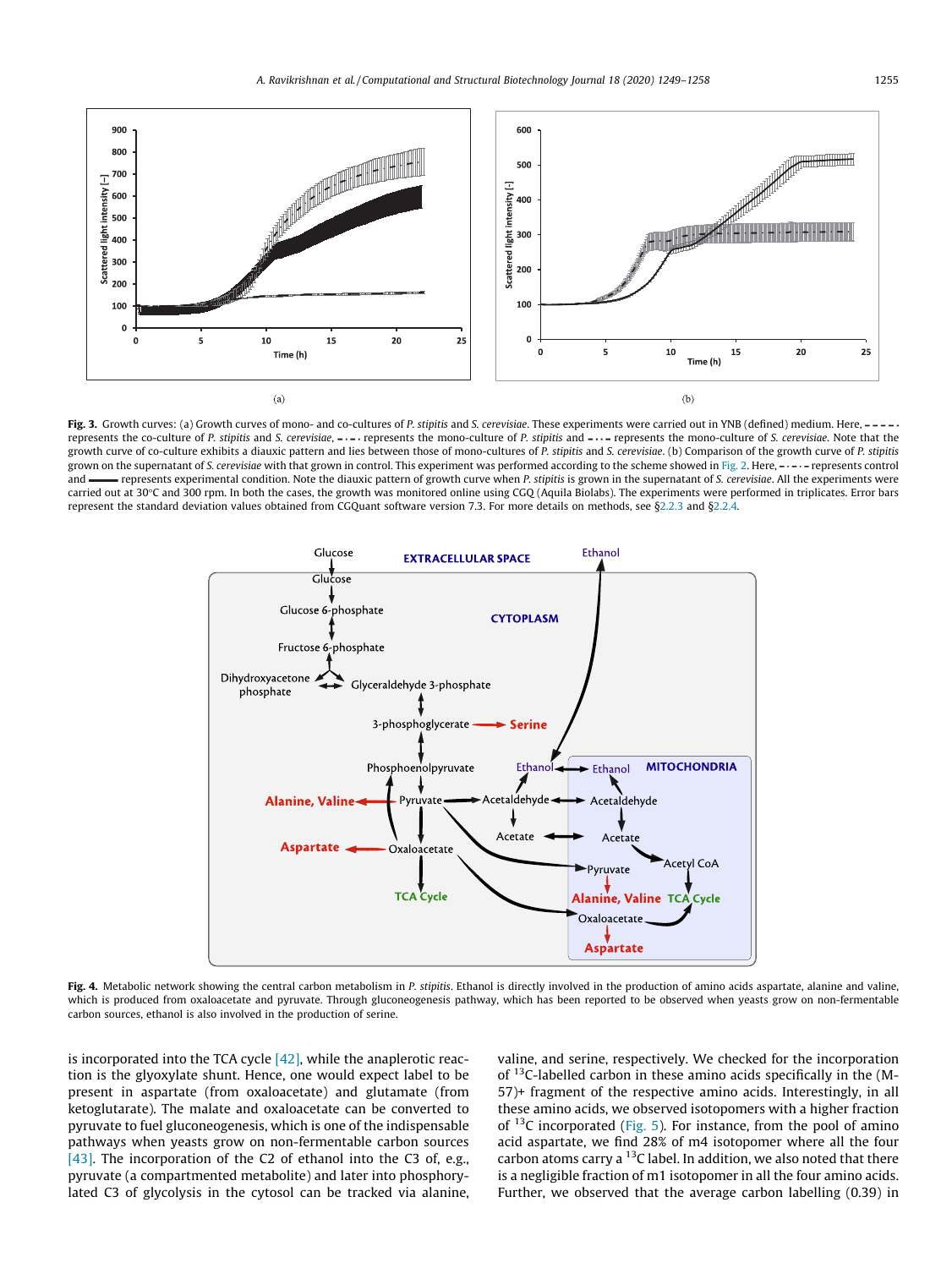

Fig. 3. Growth curves: (a) Growth curves of mono- and co-cultures of *P. stipitis* and *S. cerevisiae*. These experiments were carried out in YNB (defined) medium. Here, --represents the co-culture of *P. stipitis* and *S. cerevisiae*, ---- represents the mono-culture of *P. stipitis* and ---- represents the mono-culture of *S. cerevisiae*. Note that the growth curve of co-culture exhibits a diauxic pattern and lies between those of mono-cultures of *P. stipitis* and *S. cerevisiae*. (b) Comparison of the growth curve of *P. stipitis* grown on the supernatant of *S. cerevisiae* with that grown in control. This experiment was performed according to the scheme showed in Fig. 2. Here, ----- represents control and represents experimental condition. Note the diauxic pattern of growth curve when *P. stipitis* is grown in the supernatant of *S. cerevisiae*. All the experiments were carried out at 30°C and 300 rpm. In both the cases, the growth was monitored online using CGQ (Aquila Biolabs). The experiments were performed in triplicates. Error bars represent the standard deviation values obtained from CGQuant software version 7.3. For more details on methods, see §2.2.3 and §2.2.4.



Fig. 4. Metabolic network showing the central carbon metabolism in *P. stipitis*. Ethanol is directly involved in the production of amino acids aspartate, alanine and valine, which is produced from oxaloacetate and pyruvate. Through gluconeogenesis pathway, which has been reported to be observed when yeasts grow on non-fermentable carbon sources, ethanol is also involved in the production of serine.

is incorporated into the TCA cycle  $[42]$ , while the anaplerotic reaction is the glyoxylate shunt. Hence, one would expect label to be present in aspartate (from oxaloacetate) and glutamate (from ketoglutarate). The malate and oxaloacetate can be converted to pyruvate to fuel gluconeogenesis, which is one of the indispensable pathways when yeasts grow on non-fermentable carbon sources [43]. The incorporation of the C2 of ethanol into the C3 of, e.g., pyruvate (a compartmented metabolite) and later into phosphorylated C3 of glycolysis in the cytosol can be tracked via alanine, valine, and serine, respectively. We checked for the incorporation of <sup>13</sup>C-labelled carbon in these amino acids specifically in the (M-57)+ fragment of the respective amino acids. Interestingly, in all these amino acids, we observed isotopomers with a higher fraction of  $13C$  incorporated (Fig. 5). For instance, from the pool of amino acid aspartate, we find 28% of m4 isotopomer where all the four carbon atoms carry a  $^{13}$ C label. In addition, we also noted that there is a negligible fraction of m1 isotopomer in all the four amino acids. Further, we observed that the average carbon labelling (0.39) in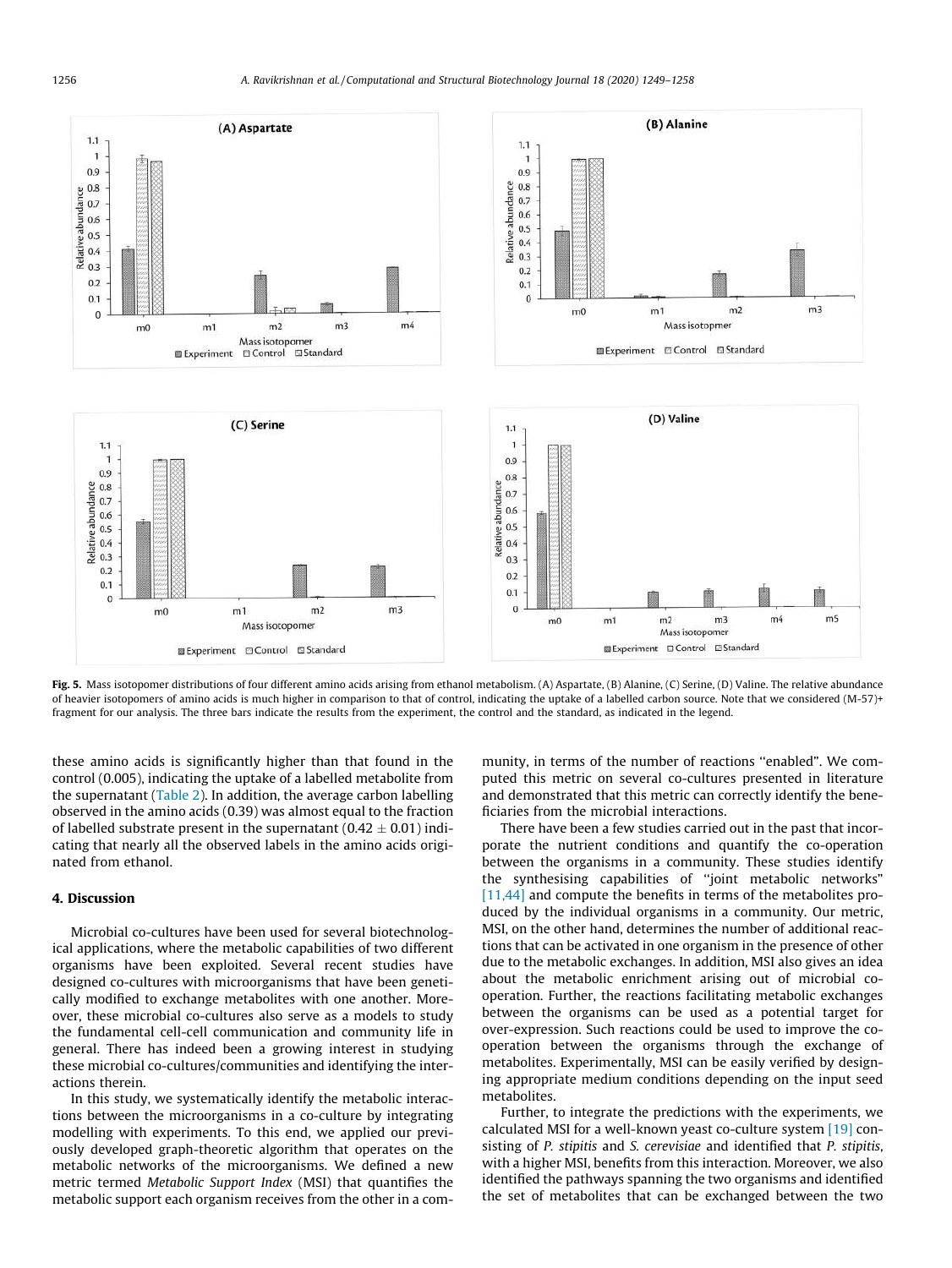

Fig. 5. Mass isotopomer distributions of four different amino acids arising from ethanol metabolism. (A) Aspartate, (B) Alanine, (C) Serine, (D) Valine. The relative abundance of heavier isotopomers of amino acids is much higher in comparison to that of control, indicating the uptake of a labelled carbon source. Note that we considered  $(M-57)$ + fragment for our analysis. The three bars indicate the results from the experiment, the control and the standard, as indicated in the legend.

these amino acids is significantly higher than that found in the control (0.005), indicating the uptake of a labelled metabolite from the supernatant (Table 2). In addition, the average carbon labelling observed in the amino acids (0.39) was almost equal to the fraction of labelled substrate present in the supernatant  $(0.42 \pm 0.01)$  indicating that nearly all the observed labels in the amino acids originated from ethanol.

## 4. Discussion

Microbial co-cultures have been used for several biotechnological applications, where the metabolic capabilities of two different organisms have been exploited. Several recent studies have designed co-cultures with microorganisms that have been genetically modified to exchange metabolites with one another. Moreover, these microbial co-cultures also serve as a models to study the fundamental cell-cell communication and community life in general. There has indeed been a growing interest in studying these microbial co-cultures/communities and identifying the interactions therein.

In this study, we systematically identify the metabolic interactions between the microorganisms in a co-culture by integrating modelling with experiments. To this end, we applied our previously developed graph-theoretic algorithm that operates on the metabolic networks of the microorganisms. We defined a new metric termed *Metabolic Support Index* (MSI) that quantifies the metabolic support each organism receives from the other in a community, in terms of the number of reactions ''enabled". We computed this metric on several co-cultures presented in literature and demonstrated that this metric can correctly identify the beneficiaries from the microbial interactions.

There have been a few studies carried out in the past that incorporate the nutrient conditions and quantify the co-operation between the organisms in a community. These studies identify the synthesising capabilities of ''joint metabolic networks" [11,44] and compute the benefits in terms of the metabolites produced by the individual organisms in a community. Our metric, MSI, on the other hand, determines the number of additional reactions that can be activated in one organism in the presence of other due to the metabolic exchanges. In addition, MSI also gives an idea about the metabolic enrichment arising out of microbial cooperation. Further, the reactions facilitating metabolic exchanges between the organisms can be used as a potential target for over-expression. Such reactions could be used to improve the cooperation between the organisms through the exchange of metabolites. Experimentally, MSI can be easily verified by designing appropriate medium conditions depending on the input seed metabolites.

Further, to integrate the predictions with the experiments, we calculated MSI for a well-known yeast co-culture system [19] consisting of *P. stipitis* and *S. cerevisiae* and identified that *P. stipitis*, with a higher MSI, benefits from this interaction. Moreover, we also identified the pathways spanning the two organisms and identified the set of metabolites that can be exchanged between the two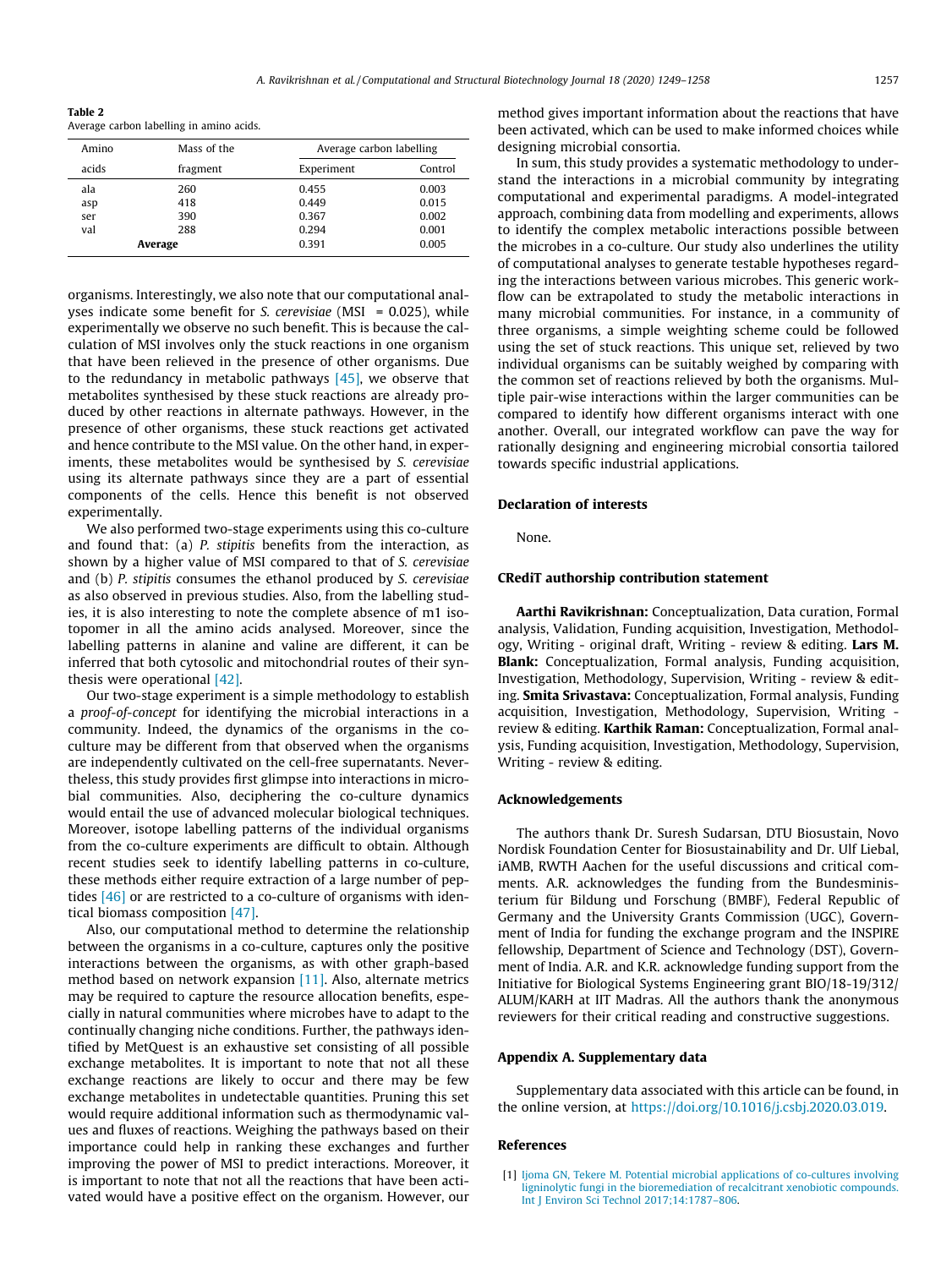Table 2 Average carbon labelling in amino acids.

| Amino   | Mass of the | Average carbon labelling |         |  |
|---------|-------------|--------------------------|---------|--|
| acids   | fragment    | Experiment               | Control |  |
| ala     | 260         | 0.455                    | 0.003   |  |
| asp     | 418         | 0.449                    | 0.015   |  |
| ser     | 390         | 0.367                    | 0.002   |  |
| val     | 288         | 0.294                    | 0.001   |  |
| Average |             | 0.391                    | 0.005   |  |
|         |             |                          |         |  |

organisms. Interestingly, we also note that our computational analyses indicate some benefit for *S. cerevisiae* (MSI = 0.025), while experimentally we observe no such benefit. This is because the calculation of MSI involves only the stuck reactions in one organism that have been relieved in the presence of other organisms. Due to the redundancy in metabolic pathways  $[45]$ , we observe that metabolites synthesised by these stuck reactions are already produced by other reactions in alternate pathways. However, in the presence of other organisms, these stuck reactions get activated and hence contribute to the MSI value. On the other hand, in experiments, these metabolites would be synthesised by *S. cerevisiae* using its alternate pathways since they are a part of essential components of the cells. Hence this benefit is not observed experimentally.

We also performed two-stage experiments using this co-culture and found that: (a) *P. stipitis* benefits from the interaction, as shown by a higher value of MSI compared to that of *S. cerevisiae* and (b) *P. stipitis* consumes the ethanol produced by *S. cerevisiae* as also observed in previous studies. Also, from the labelling studies, it is also interesting to note the complete absence of m1 isotopomer in all the amino acids analysed. Moreover, since the labelling patterns in alanine and valine are different, it can be inferred that both cytosolic and mitochondrial routes of their synthesis were operational [42].

Our two-stage experiment is a simple methodology to establish a *proof-of-concept* for identifying the microbial interactions in a community. Indeed, the dynamics of the organisms in the coculture may be different from that observed when the organisms are independently cultivated on the cell-free supernatants. Nevertheless, this study provides first glimpse into interactions in microbial communities. Also, deciphering the co-culture dynamics would entail the use of advanced molecular biological techniques. Moreover, isotope labelling patterns of the individual organisms from the co-culture experiments are difficult to obtain. Although recent studies seek to identify labelling patterns in co-culture, these methods either require extraction of a large number of peptides [46] or are restricted to a co-culture of organisms with identical biomass composition [47].

Also, our computational method to determine the relationship between the organisms in a co-culture, captures only the positive interactions between the organisms, as with other graph-based method based on network expansion [11]. Also, alternate metrics may be required to capture the resource allocation benefits, especially in natural communities where microbes have to adapt to the continually changing niche conditions. Further, the pathways identified by MetQuest is an exhaustive set consisting of all possible exchange metabolites. It is important to note that not all these exchange reactions are likely to occur and there may be few exchange metabolites in undetectable quantities. Pruning this set would require additional information such as thermodynamic values and fluxes of reactions. Weighing the pathways based on their importance could help in ranking these exchanges and further improving the power of MSI to predict interactions. Moreover, it is important to note that not all the reactions that have been activated would have a positive effect on the organism. However, our method gives important information about the reactions that have been activated, which can be used to make informed choices while designing microbial consortia.

In sum, this study provides a systematic methodology to understand the interactions in a microbial community by integrating computational and experimental paradigms. A model-integrated approach, combining data from modelling and experiments, allows to identify the complex metabolic interactions possible between the microbes in a co-culture. Our study also underlines the utility of computational analyses to generate testable hypotheses regarding the interactions between various microbes. This generic workflow can be extrapolated to study the metabolic interactions in many microbial communities. For instance, in a community of three organisms, a simple weighting scheme could be followed using the set of stuck reactions. This unique set, relieved by two individual organisms can be suitably weighed by comparing with the common set of reactions relieved by both the organisms. Multiple pair-wise interactions within the larger communities can be compared to identify how different organisms interact with one another. Overall, our integrated workflow can pave the way for rationally designing and engineering microbial consortia tailored towards specific industrial applications.

### Declaration of interests

None.

### CRediT authorship contribution statement

Aarthi Ravikrishnan: Conceptualization, Data curation, Formal analysis, Validation, Funding acquisition, Investigation, Methodology, Writing - original draft, Writing - review & editing. Lars M. Blank: Conceptualization, Formal analysis, Funding acquisition, Investigation, Methodology, Supervision, Writing - review & editing. Smita Srivastava: Conceptualization, Formal analysis, Funding acquisition, Investigation, Methodology, Supervision, Writing review & editing. Karthik Raman: Conceptualization, Formal analysis, Funding acquisition, Investigation, Methodology, Supervision, Writing - review & editing.

### Acknowledgements

The authors thank Dr. Suresh Sudarsan, DTU Biosustain, Novo Nordisk Foundation Center for Biosustainability and Dr. Ulf Liebal, iAMB, RWTH Aachen for the useful discussions and critical comments. A.R. acknowledges the funding from the Bundesministerium für Bildung und Forschung (BMBF), Federal Republic of Germany and the University Grants Commission (UGC), Government of India for funding the exchange program and the INSPIRE fellowship, Department of Science and Technology (DST), Government of India. A.R. and K.R. acknowledge funding support from the Initiative for Biological Systems Engineering grant BIO/18-19/312/ ALUM/KARH at IIT Madras. All the authors thank the anonymous reviewers for their critical reading and constructive suggestions.

#### Appendix A. Supplementary data

Supplementary data associated with this article can be found, in the online version, at https://doi.org/10.1016/j.csbj.2020.03.019.

#### References

[1] Ijoma GN, Tekere M. Potential microbial applications of co-cultures involving ligninolytic fungi in the bioremediation of recalcitrant xenobiotic compounds. Int J Environ Sci Technol 2017;14:1787–806.